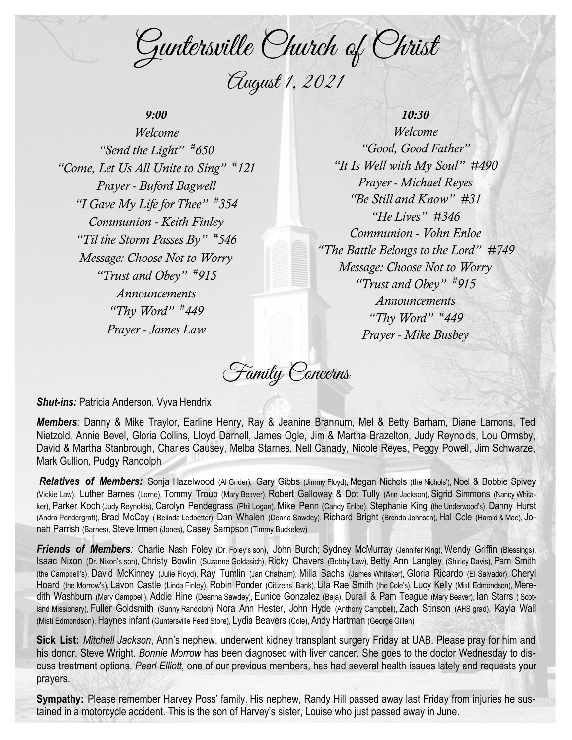Guntersville Church of Christ August 1, 2021

# *9:00*

*Welcome "Send the Light" # 650 "Come, Let Us All Unite to Sing" # 121 Prayer - Buford Bagwell "I Gave My Life for Thee" # 354 Communion - Keith Finley "Til the Storm Passes By" # 546 Message: Choose Not to Worry "Trust and Obey" # 915 Announcements "Thy Word" # 449 Prayer - James Law*

*10:30 Welcome "Good, Good Father" "It Is Well with My Soul" #490 Prayer - Michael Reyes "Be Still and Know" #31 "He Lives" #346 Communion - Vohn Enloe "The Battle Belongs to the Lord" #749 Message: Choose Not to Worry "Trust and Obey" # 915 Announcements "Thy Word" # 449 Prayer - Mike Busbey*

Family Concerns

*Shut-ins: Patricia Anderson, Vyva Hendrix* 

*Members:* Danny & Mike Traylor, Earline Henry, Ray & Jeanine Brannum, Mel & Betty Barham, Diane Lamons, Ted Nietzold, Annie Bevel, Gloria Collins, Lloyd Darnell, James Ogle, Jim & Martha Brazelton, Judy Reynolds, Lou Ormsby, David & Martha Stanbrough, Charles Causey, Melba Starnes, Nell Canady, Nicole Reyes, Peggy Powell, Jim Schwarze, Mark Gullion, Pudgy Randolph

*Relatives of Members:* Sonja Hazelwood (Al Grider), Gary Gibbs (Jimmy Floyd), Megan Nichols (the Nichols'), Noel & Bobbie Spivey (Vickie Law), Luther Barnes (Lorne), Tommy Troup (Mary Beaver), Robert Galloway & Dot Tully (Ann Jackson), Sigrid Simmons (Nancy Whitaker), Parker Koch (Judy Reynolds), Carolyn Pendegrass (Phil Logan), Mike Penn (Candy Enloe), Stephanie King (the Underwood's), Danny Hurst (Andra Pendergraft), Brad McCoy ( Belinda Ledbetter), Dan Whalen (Deana Sawdey), Richard Bright (Brenda Johnson), Hal Cole (Harold & Mae), Jonah Parrish (Barnes), Steve Irmen (Jones), Casey Sampson (Timmy Buckelew)

*Friends of Members:* Charlie Nash Foley (Dr. Foley's son), John Burch; Sydney McMurray (Jennifer King), Wendy Griffin (Blessings), Isaac Nixon (Dr. Nixon's son), Christy Bowlin (Suzanne Goldasich), Ricky Chavers (Bobby Law), Betty Ann Langley (Shirley Davis), Pam Smith (the Campbell's), David McKinney (Julie Floyd), Ray Tumlin (Jan Chatham), Milla Sachs (James Whitaker), Gloria Ricardo (El Salvador), Cheryl Hoard (the Morrow's), Lavon Castle (Linda Finley), Robin Ponder (Citizens' Bank), Lila Rae Smith (the Cole's), Lucy Kelly (Misti Edmondson), Meredith Washburn (Mary Campbell), Addie Hine (Deanna Sawdey), Eunice Gonzalez (Baja), Durall & Pam Teague (Mary Beaver), Ian Starrs ( Scotland Missionary), Fuller Goldsmith (Sunny Randolph), Nora Ann Hester, John Hyde (Anthony Campbell), Zach Stinson (AHS grad), Kayla Wall (Misti Edmondson), Haynes infant (Guntersville Feed Store), Lydia Beavers (Cole), Andy Hartman (George Gillen)

**Sick List:** *Mitchell Jackson*, Ann's nephew, underwent kidney transplant surgery Friday at UAB. Please pray for him and his donor, Steve Wright. *Bonnie Morrow* has been diagnosed with liver cancer. She goes to the doctor Wednesday to discuss treatment options. *Pearl Elliott*, one of our previous members, has had several health issues lately and requests your prayers.

**Sympathy:** Please remember Harvey Poss' family. His nephew, Randy Hill passed away last Friday from injuries he sustained in a motorcycle accident. This is the son of Harvey's sister, Louise who just passed away in June.